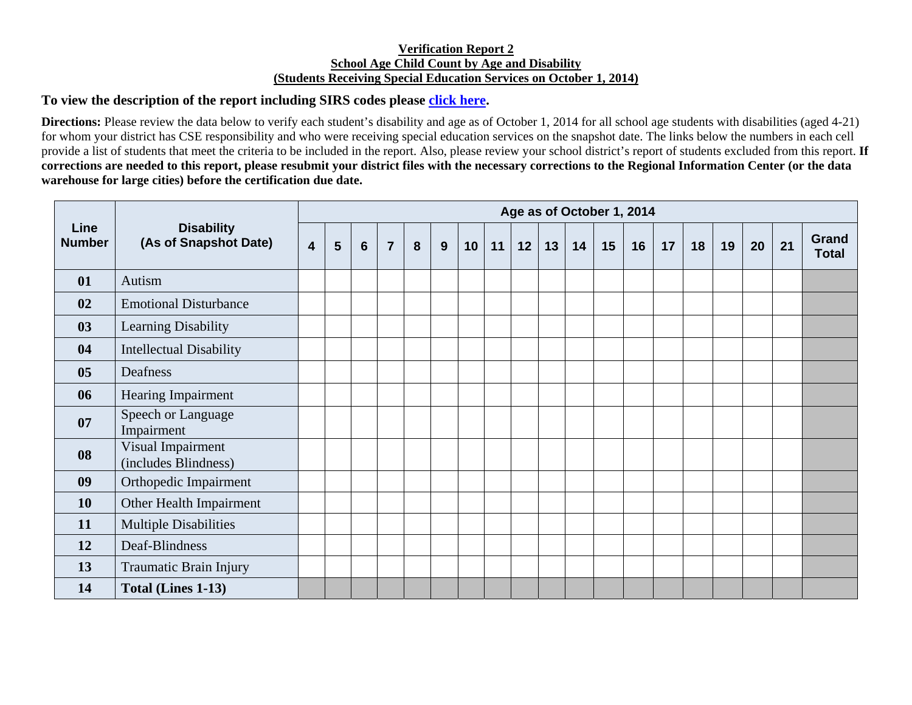## **Verification Report 2 School Age Child Count by Age and Disability (Students Receiving Special Education Services on October 1, 2014)**

## **To view the description of the report including SIRS codes please click here.**

**Directions:** Please review the data below to verify each student's disability and age as of October 1, 2014 for all school age students with disabilities (aged 4-21) for whom your district has CSE responsibility and who were receiving special education services on the snapshot date. The links below the numbers in each cell provide a list of students that meet the criteria to be included in the report. Also, please review your school district's report of students excluded from this report. **If corrections are needed to this report, please resubmit your district files with the necessary corrections to the Regional Information Center (or the data warehouse for large cities) before the certification due date.** 

| Line<br><b>Number</b> | <b>Disability</b><br>(As of Snapshot Date) | Age as of October 1, 2014 |   |                |                |   |   |    |    |    |    |    |    |    |    |    |    |    |    |                       |
|-----------------------|--------------------------------------------|---------------------------|---|----------------|----------------|---|---|----|----|----|----|----|----|----|----|----|----|----|----|-----------------------|
|                       |                                            | $\overline{\mathbf{4}}$   | 5 | $6\phantom{1}$ | $\overline{7}$ | 8 | 9 | 10 | 11 | 12 | 13 | 14 | 15 | 16 | 17 | 18 | 19 | 20 | 21 | Grand<br><b>Total</b> |
| 01                    | Autism                                     |                           |   |                |                |   |   |    |    |    |    |    |    |    |    |    |    |    |    |                       |
| 02                    | <b>Emotional Disturbance</b>               |                           |   |                |                |   |   |    |    |    |    |    |    |    |    |    |    |    |    |                       |
| 03                    | Learning Disability                        |                           |   |                |                |   |   |    |    |    |    |    |    |    |    |    |    |    |    |                       |
| 04                    | <b>Intellectual Disability</b>             |                           |   |                |                |   |   |    |    |    |    |    |    |    |    |    |    |    |    |                       |
| 05                    | Deafness                                   |                           |   |                |                |   |   |    |    |    |    |    |    |    |    |    |    |    |    |                       |
| 06                    | Hearing Impairment                         |                           |   |                |                |   |   |    |    |    |    |    |    |    |    |    |    |    |    |                       |
| 07                    | Speech or Language<br>Impairment           |                           |   |                |                |   |   |    |    |    |    |    |    |    |    |    |    |    |    |                       |
| 08                    | Visual Impairment<br>(includes Blindness)  |                           |   |                |                |   |   |    |    |    |    |    |    |    |    |    |    |    |    |                       |
| 09                    | Orthopedic Impairment                      |                           |   |                |                |   |   |    |    |    |    |    |    |    |    |    |    |    |    |                       |
| 10                    | Other Health Impairment                    |                           |   |                |                |   |   |    |    |    |    |    |    |    |    |    |    |    |    |                       |
| 11                    | <b>Multiple Disabilities</b>               |                           |   |                |                |   |   |    |    |    |    |    |    |    |    |    |    |    |    |                       |
| 12                    | Deaf-Blindness                             |                           |   |                |                |   |   |    |    |    |    |    |    |    |    |    |    |    |    |                       |
| 13                    | Traumatic Brain Injury                     |                           |   |                |                |   |   |    |    |    |    |    |    |    |    |    |    |    |    |                       |
| 14                    | Total (Lines 1-13)                         |                           |   |                |                |   |   |    |    |    |    |    |    |    |    |    |    |    |    |                       |